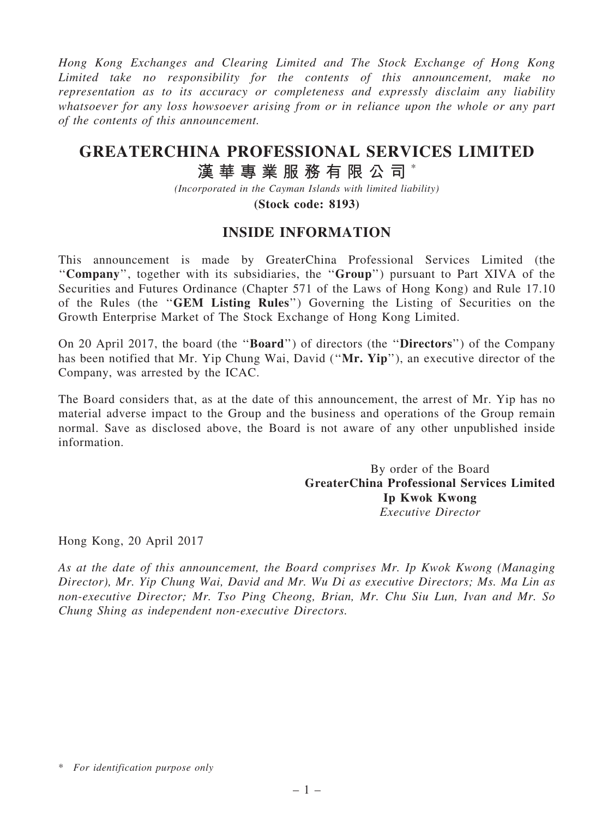Hong Kong Exchanges and Clearing Limited and The Stock Exchange of Hong Kong Limited take no responsibility for the contents of this announcement, make no representation as to its accuracy or completeness and expressly disclaim any liability whatsoever for any loss howsoever arising from or in reliance upon the whole or any part of the contents of this announcement.

## GREATERCHINA PROFESSIONAL SERVICES LIMITED 漢 華 專 業 服 務 有 限 公 司 \*

(Incorporated in the Cayman Islands with limited liability)

(Stock code: 8193)

## INSIDE INFORMATION

This announcement is made by GreaterChina Professional Services Limited (the ''Company'', together with its subsidiaries, the ''Group'') pursuant to Part XIVA of the Securities and Futures Ordinance (Chapter 571 of the Laws of Hong Kong) and Rule 17.10 of the Rules (the ''GEM Listing Rules'') Governing the Listing of Securities on the Growth Enterprise Market of The Stock Exchange of Hong Kong Limited.

On 20 April 2017, the board (the ''Board'') of directors (the ''Directors'') of the Company has been notified that Mr. Yip Chung Wai, David ("Mr. Yip"), an executive director of the Company, was arrested by the ICAC.

The Board considers that, as at the date of this announcement, the arrest of Mr. Yip has no material adverse impact to the Group and the business and operations of the Group remain normal. Save as disclosed above, the Board is not aware of any other unpublished inside information.

> By order of the Board GreaterChina Professional Services Limited Ip Kwok Kwong Executive Director

Hong Kong, 20 April 2017

As at the date of this announcement, the Board comprises Mr. Ip Kwok Kwong (Managing Director), Mr. Yip Chung Wai, David and Mr. Wu Di as executive Directors; Ms. Ma Lin as non-executive Director; Mr. Tso Ping Cheong, Brian, Mr. Chu Siu Lun, Ivan and Mr. So Chung Shing as independent non-executive Directors.

<sup>\*</sup> For identification purpose only